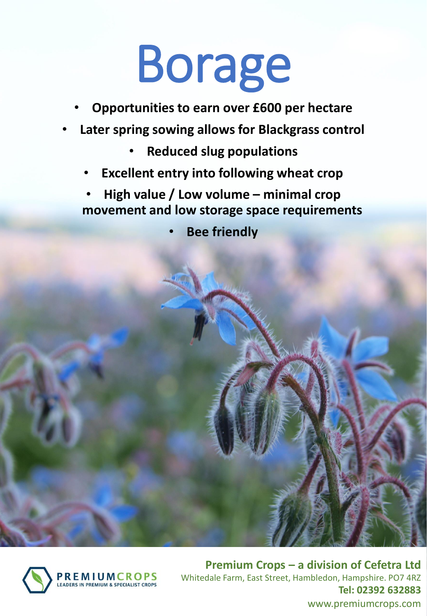## Borage

- **Opportunities to earn over £600 per hectare**
- **Later spring sowing allows for Blackgrass control**
	- **Reduced slug populations**
	- **Excellent entry into following wheat crop**
	- **High value / Low volume – minimal crop movement and low storage space requirements**

• **Bee friendly**



**Premium Crops – a division of Cefetra Ltd** Whitedale Farm, East Street, Hambledon, Hampshire. PO7 4RZ **Tel: 02392 632883** www.premiumcrops.com